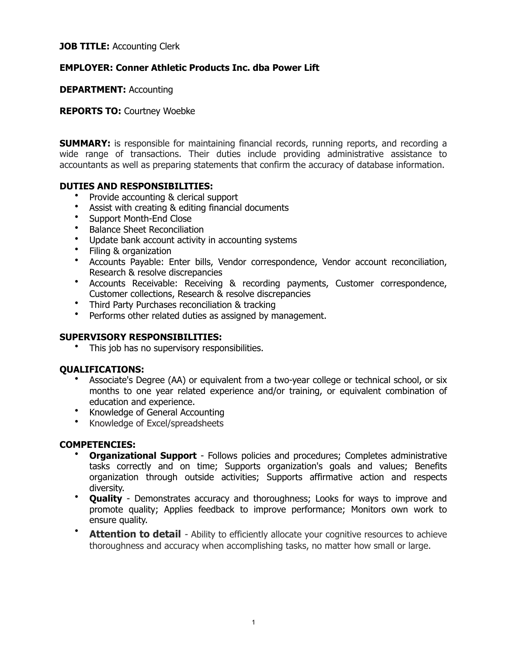### **JOB TITLE: Accounting Clerk**

# **EMPLOYER: Conner Athletic Products Inc. dba Power Lift**

**DEPARTMENT:** Accounting

**REPORTS TO:** Courtney Woebke

**SUMMARY:** is responsible for maintaining financial records, running reports, and recording a wide range of transactions. Their duties include providing administrative assistance to accountants as well as preparing statements that confirm the accuracy of database information.

## **DUTIES AND RESPONSIBILITIES:**

- Provide accounting & clerical support
- Assist with creating & editing financial documents
- Support Month-End Close
- Balance Sheet Reconciliation
- Update bank account activity in accounting systems
- Filing & organization
- Accounts Payable: Enter bills, Vendor correspondence, Vendor account reconciliation, Research & resolve discrepancies
- Accounts Receivable: Receiving & recording payments, Customer correspondence, Customer collections, Research & resolve discrepancies
- Third Party Purchases reconciliation & tracking
- Performs other related duties as assigned by management.

# **SUPERVISORY RESPONSIBILITIES:**

This job has no supervisory responsibilities.

#### **QUALIFICATIONS:**

- Associate's Degree (AA) or equivalent from a two-year college or technical school, or six months to one year related experience and/or training, or equivalent combination of education and experience.
- Knowledge of General Accounting
- Knowledge of Excel/spreadsheets

#### **COMPETENCIES:**

- **Organizational Support** Follows policies and procedures; Completes administrative tasks correctly and on time; Supports organization's goals and values; Benefits organization through outside activities; Supports affirmative action and respects diversity.
- **Quality** Demonstrates accuracy and thoroughness; Looks for ways to improve and promote quality; Applies feedback to improve performance; Monitors own work to ensure quality.
- **Attention to detail** Ability to efficiently allocate your cognitive resources to achieve thoroughness and accuracy when accomplishing tasks, no matter how small or large.